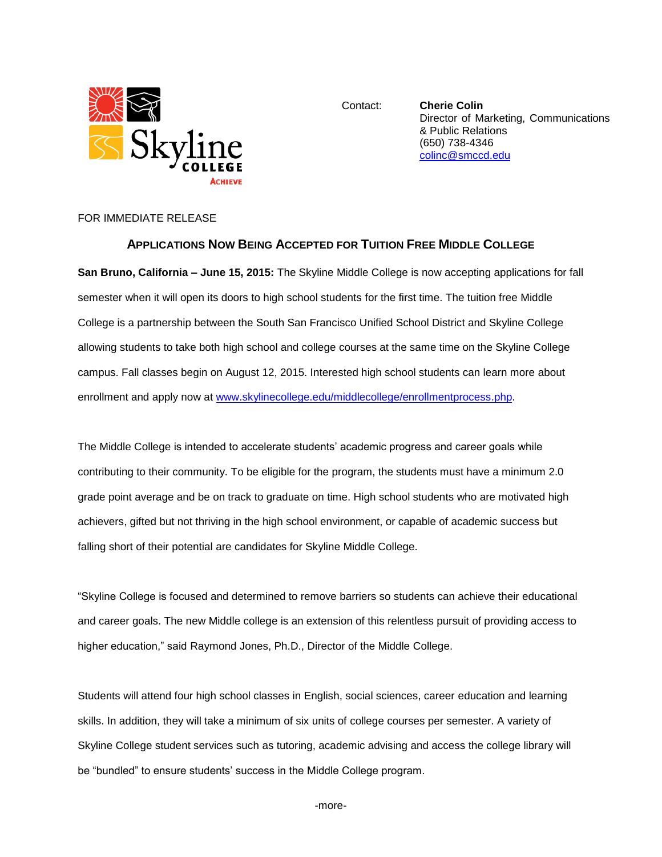

Contact: **Cherie Colin** Director of Marketing, Communications & Public Relations (650) 738-4346 [colinc@smccd.edu](mailto:colinc@smccd.edu)

## FOR IMMEDIATE RELEASE

## **APPLICATIONS NOW BEING ACCEPTED FOR TUITION FREE MIDDLE COLLEGE**

**San Bruno, California – June 15, 2015:** The Skyline Middle College is now accepting applications for fall semester when it will open its doors to high school students for the first time. The tuition free Middle College is a partnership between the South San Francisco Unified School District and Skyline College allowing students to take both high school and college courses at the same time on the Skyline College campus. Fall classes begin on August 12, 2015. Interested high school students can learn more about enrollment and apply now at [www.skylinecollege.edu/middlecollege/enrollmentprocess.php.](http://www.skylinecollege.edu/middlecollege/enrollmentprocess.php)

The Middle College is intended to accelerate students' academic progress and career goals while contributing to their community. To be eligible for the program, the students must have a minimum 2.0 grade point average and be on track to graduate on time. High school students who are motivated high achievers, gifted but not thriving in the high school environment, or capable of academic success but falling short of their potential are candidates for Skyline Middle College.

"Skyline College is focused and determined to remove barriers so students can achieve their educational and career goals. The new Middle college is an extension of this relentless pursuit of providing access to higher education," said Raymond Jones, Ph.D., Director of the Middle College.

Students will attend four high school classes in English, social sciences, career education and learning skills. In addition, they will take a minimum of six units of college courses per semester. A variety of Skyline College student services such as tutoring, academic advising and access the college library will be "bundled" to ensure students' success in the Middle College program.